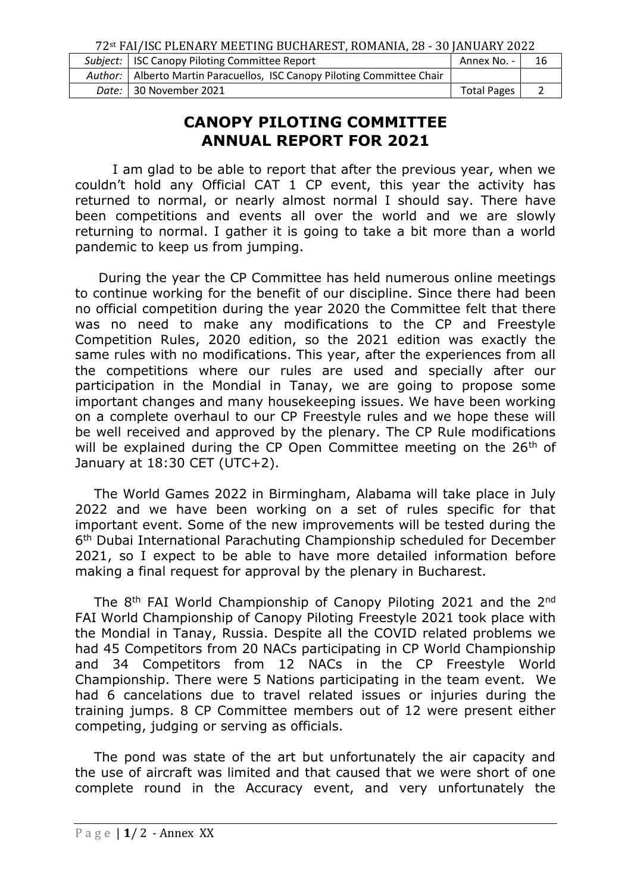72st FAI/ISC PLENARY MEETING BUCHAREST, ROMANIA, 28 - 30 JANUARY 2022

| Subject:   ISC Canopy Piloting Committee Report                           | Annex No. -        | 16 |
|---------------------------------------------------------------------------|--------------------|----|
| Author:   Alberto Martin Paracuellos, ISC Canopy Piloting Committee Chair |                    |    |
| Date: 1 30 November 2021                                                  | <b>Total Pages</b> |    |

## **CANOPY PILOTING COMMITTEE ANNUAL REPORT FOR 2021**

I am glad to be able to report that after the previous year, when we couldn't hold any Official CAT 1 CP event, this year the activity has returned to normal, or nearly almost normal I should say. There have been competitions and events all over the world and we are slowly returning to normal. I gather it is going to take a bit more than a world pandemic to keep us from jumping.

During the year the CP Committee has held numerous online meetings to continue working for the benefit of our discipline. Since there had been no official competition during the year 2020 the Committee felt that there was no need to make any modifications to the CP and Freestyle Competition Rules, 2020 edition, so the 2021 edition was exactly the same rules with no modifications. This year, after the experiences from all the competitions where our rules are used and specially after our participation in the Mondial in Tanay, we are going to propose some important changes and many housekeeping issues. We have been working on a complete overhaul to our CP Freestyle rules and we hope these will be well received and approved by the plenary. The CP Rule modifications will be explained during the CP Open Committee meeting on the 26<sup>th</sup> of January at 18:30 CET (UTC+2).

The World Games 2022 in Birmingham, Alabama will take place in July 2022 and we have been working on a set of rules specific for that important event. Some of the new improvements will be tested during the 6 th Dubai International Parachuting Championship scheduled for December 2021, so I expect to be able to have more detailed information before making a final request for approval by the plenary in Bucharest.

The 8<sup>th</sup> FAI World Championship of Canopy Piloting 2021 and the 2<sup>nd</sup> FAI World Championship of Canopy Piloting Freestyle 2021 took place with the Mondial in Tanay, Russia. Despite all the COVID related problems we had 45 Competitors from 20 NACs participating in CP World Championship and 34 Competitors from 12 NACs in the CP Freestyle World Championship. There were 5 Nations participating in the team event. We had 6 cancelations due to travel related issues or injuries during the training jumps. 8 CP Committee members out of 12 were present either competing, judging or serving as officials.

The pond was state of the art but unfortunately the air capacity and the use of aircraft was limited and that caused that we were short of one complete round in the Accuracy event, and very unfortunately the